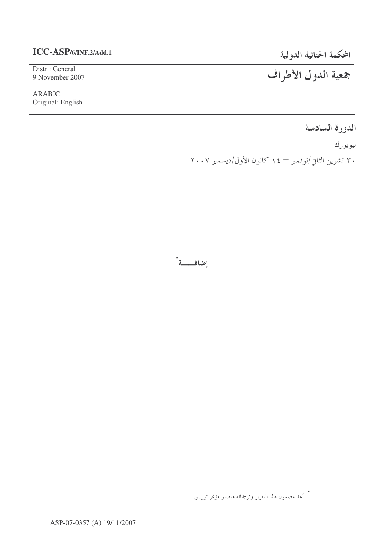## ICC-ASP/6/INF.2/Add.1

Distr.: General 9 November 2007

**ARABIC** Original: English

# المحكمة الجنائية الدولية<br>جمعية الدول الأطراف

الدورة السادسة

نيويورك

۳۰ تشرین الثاني/نوفمبر — ۱٤ كانون الأول/ديسمبر ۲۰۰۷

إضافـــــة ٌ

<sup>\*&</sup>lt;br>أعد مضمون هذا التقرير وترجماته منظمو مؤتمر تورينو.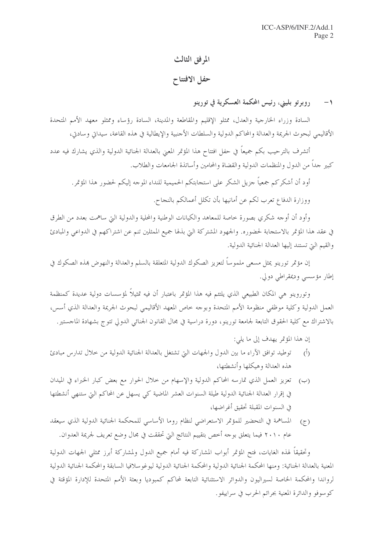## المرفق الثالث

## حفل الافتتاح

#### روبرتو بليني، رئيس المحكمة العسكرية في تورينو  $-1$

السادة وزراء الخارجية والعدل، ممثلو الإقليم والمقاطعة والمدينة، السادة رؤساء وممثلو معهد الأمم المتحدة الأقاليمي لبحوث الجريمة والعدالة والمحاكم الدولية والسلطات الأجنبية والإيطالية في هذه القاعة، سيداتي وسادتي،

أتشرف بالترحيب بكم جميعاً في حفل افتتاح هذا المؤتمر المعنى بالعدالة الجنائية الدولية والذي يشارك فيه عدد كبير حداً من الدول والمنظمات الدولية والقضاة والمحامين وأساتذة الجامعات والطلاب.

أود أن أشكر كم جمعياً جزيل الشكر على استجابتكم الحميمية للنداء الموجه إليكم لحضور هذا المؤتمر. ووزارة الدفاع تعرب لكم عن أمانيها بأن تكلل أعمالكم بالنجاح.

وأود أن أوجه شكري بصورة حاصة للمعاهد والكيانات الوطنية والمحلية والدولية التي ساهمت بعدد من الطرق في عقد هذا المؤتمر بالاستحابة لحضوره. والجهود المشتركة التي بذلها جميع الممثلين تنم عن اشتراكهم في الدواعي والمبادئ والقيم التي تستند إليها العدالة الجنائية الدولية.

إن مؤتمر تورينو يمثل مسعى ملموساً لتعزيز الصكوك الدولية المتعلقة بالسلم والعدالة والنهوض هذه الصكوك في إطار مؤسسي وديمقراطي دولي.

وتوروينو هي المكان الطبيعي الذي يلتئم فيه هذا المؤتمر باعتبار أن فيه تمثيلاً لمؤسسات دولية عديدة كمنظمة العمل الدولية وكلية موظفى منظومة الأمم المتحدة وبوجه خاص المعهد الأقاليمي لبحوث الجريمة والعدالة الذي أسس، بالاشتراك مع كلية الحقوق التابعة لجامعة تورينو، دورة دراسية في مجال القانون الجنائبي الدولي تتوج بشهادة الماجستير.

إن هذا المؤتمر يهدف إلى ما يلي:

- توطيد توافق الآراء ما بين الدول والجهات التي تشتغل بالعدالة الجنائية الدولية من خلال تدارس مبادئ  $(\mathcal{L})$ هذه العدالة وهيكلها وأنشطتها،
- (ب) تعزيز العمل الذي تمارسه المحاكم الدولية والإسهام من خلال الحوار مع بعض كبار الخبراء في الميدان في إقرار العدالة الجنائية الدولية طيلة السنوات العشر الماضية كي يسهل عن المحاكم التي ستنهى أنشطتها في السنوات المقبلة تحقيق أغراضها،
- المساهمة في التحضير للمؤتمر الاستعراضي لنظام روما الأساسي للمحكمة الجنائية الدولية الذي سيعقد  $(\tau)$ عام ٢٠١٠ فيما يتعلق بوحه أخص بتقييم النتائج التي تحققت في مجال وضع تعريف لجريمة العدوان.

وتحقيقاً لهذه الغايات، فتح المؤتمر أبواب المشاركة فيه أمام جميع الدول ولمشاركة أبرز ممثلي الجهات الدولية المعنية بالعدالة الجنائية: ومنها المحكمة الجنائية الدولية والمحكمة الجنائية الدولية ليوغو سلافيا السابقة والمحكمة الجنائية الدولية لرواندا والمحكمة الخاصة لسيراليون والدوائر الاستثنائية التابعة لمحاكم كمبوديا وبعثة الأمم المتحدة للإدارة المؤقتة في كوسوفو والدائرة المعنية بجرائم الحرب في سراييفو.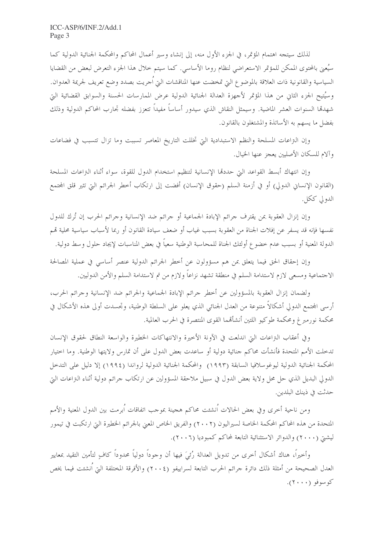لذلك سيتجه اهتمام المؤتمر، في الجزء الأول منه، إلى إنشاء وسير أعمال المحاكم والمحكمة الجنائية الدولية كما سيُعني بالمحتوى الممكن للمؤتمر الاستعراضي لنظام روما الأساسي. كما سيتم حلال هذا الجزء التعرض لبعض من القضايا السياسية والقانونية ذات العلاقة بالموضوع التي تمخضت عنها المناقشات التي اجريت بصدد وضع تعريف لجريمة العدوان. وسيُتيح الجزء الثاني من هذا المؤتمر لأجهزة العدالة الجنائية الدولية عرض الممارسات الحسنة والسوابق القضائية التي شهدقما السنوات العشر الماضية. وسيمثل النقاش الذي سيدور أساساً مفيداً تتعزز بفضله تحارب المحاكم الدولية وذلك بفضل ما يسهم به الأساتذة والمشتغلون بالقانون.

وإن التراعات المسلحة والنظم الاستبدادية التي تخللت التاريخ المعاصر تسببت وما تزال تتسبب في فضاعات وآلام للسكان الأصليين يعجز عنها الخيال.

وإن انتهاك أبسط القواعد التي حددقما الإنسانية لتنظيم استخدام الدول للقوة، سواء أثناء التراعات المسلحة (القانون الإنساني الدولي) أو في أزمنة السلم (حقوق الإنسان) أفضت إلى ارتكاب أخطر الجرائم التي تثير قلق المحتمع الدولي ككل.

وإن إنزال العقوبة بمن يقترف حرائم الإبادة الجماعية أو حرائم ضد الإنسانية وحرائم الحرب إن تُرك للدول نفسها فإنه قد يسفر عن إفلات الجناة من العقوبة بسبب غياب أو ضعف سيادة القانون أو ربما لأسباب سياسية محلية تمم الدولة المعنية أو بسبب عدم حضوع أولئك الجناة للمحاسبة الوطنية سعياً في بعض المناسبات لإيجاد حلول وسط دولية.

وإن إحقاق الحق فيما يتعلق بمن هم مسؤولون عن أحطر الجرائم الدولية عنصر أساسي في عملية المصالحة الاحتماعية ومسعى لازم لاستدامة السلم في منطقة تشهد نزاعاً ولازم من تم لاستدامة السلم والأمن الدوليين.

ولضمان إنزال العقوبة بالمسؤولين عن أحطر جرائم الإبادة الجماعية والجرائم ضد الإنسانية وجرائم الحرب، أرسى المحتمع الدولي أشكالاً متنوعة من العدل الجنائي الذي يعلو على السلطة الوطنية، وتحسدت أولى هذه الأشكال في محكمة نورمبرغ ومحكمة طوكيو اللتين أنشأتمما القوى المنتصرة في الحرب العالمية.

وفي أعقاب النزاعات التي اندلعت في الآونة الأخيرة والانتهاكات الخطيرة والواسعة النطاق لحقوق الإنسان تدخلت الأمم المتحدة فأنشأت محاكم جنائية دولية أو ساعدت بعض الدول على أن تمارس ولايتها الوطنية. وما اختيار المحكمة الجنائية الدولية ليوغوسلافيا السابقة (١٩٩٣) والمحكمة الجنائية الدولية لرواندا (١٩٩٤) إلا دليل على التدحل الدولي البديل الذي حل محل ولاية بعض الدول في سبيل ملاحقة المسؤولين عن ارتكاب جرائم دولية أثناء النزاعات التي حدثت في ذينك البلدين.

ومن ناحية أخرى وفي بعض الحالات اُنشئت محاكم هجينة بموجب اتفاقات اُبرمت بين الدول المعنية والأمم المتحدة من هذه المحاكم المحكمة الخاصة لسيراليون (٢٠٠٢) والفريق الخاص المعنى بالجرائم الخطيرة التي ارتكبت في تيمور ليشتي (٢٠٠٠) والدوائر الاستثنائية التابعة لمحاكم كمبوديا (٢٠٠٦).

وأخيراً، هناك أشكال أخرى من تدويل العدالة رُئيَ فيها أن وجوداً دولياً محدوداً كافٍ لتأمين التقيد بمعايير العدل الصحيحة من أمثلة ذلك دائرة جرائم الحرب التابعة لسراييفو (٢٠٠٤) والأفرقة المختلفة التي اُنشئت فيما يخص کوسوفو (۲۰۰۰).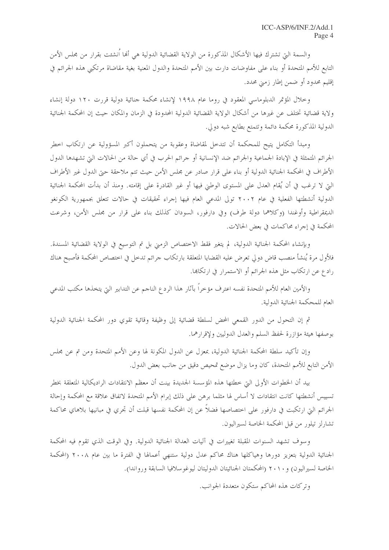والسمة التي تشترك فيها الأشكال المذكورة من الولاية القضائية الدولية هي ألها اُنشئت بقرار من مجلس الأمن التابع للأمم المتحدة أو بناء على مفاوضات دارت بين الأمم المتحدة والدول المعنية بغية مقاضاة مرتكبي هذه الجرائم في إقليم محدود أو ضمن إطار زمني محدد.

وخلال المؤتمر الدبلوماسي المعقود في روما عام ١٩٩٨ لإنشاء محكمة جنائية دولية قررت ١٢٠ دولة إنشاء ولاية قضائية تختلف عن غيرها من أشكال الولاية القضائية الدولية المحدودة في الزمان والمكان حيث إن المحكمة الجنائية الدولية المذكورة محكمة دائمة وتتمتع بطابع شبه دولي.

ومبدأ التكامل يتيح للمحكمة أن تتدخل لمقاضاة وعقوبة من يتحملون أكبر المسؤولية عن ارتكاب اخطر الجرائم المتمثلة في الإبادة الجماعية والجرائم ضد الإنسانية أو حرائم الحرب في أي حالة من الحالات التي تشهدها الدول الأطراف في المحكمة الجنائية الدولية أو بناء على قرار صادر عن مجلس الأمن حيث تتم ملاحقة حتى الدول غير الأطراف التي لا ترغب في أن يُقام العدل على المستوى الوطني فيها أو غير القادرة على إقامته. ومنذ أن بدأت المحكمة الجنائية الدولية أنشطتها الفعلية في عام ٢٠٠٢ تولى المدعى العام فيها إجراء تحقيقات في حالات تتعلق بجمهورية الكونغو الديمقراطية وأوغندا (وكلاهما دولة طرف) وفي دارفور، السودان كذلك بناء على قرار من مجلس الأمن، وشرعت المحكمة في إجراء محاكمات في بعض الحالات.

وبإنشاء المحكمة الجنائية الدولية، لم يتغير فقط الاختصاص الزمني بل تم التوسيع في الولاية القضائية المسندة. فلأول مرة يُنشأ منصب قاض دولى تعرض عليه القضايا المتعلقة بارتكاب حرائم تدحل في احتصاص المحكمة فأصبح هناك رادع عن ارتكاب مثل هذه الجرائم أو الاستمرار في ارتكاها.

والأمين العام للأمم المتحدة نفسه اعترف مؤخراً بآثار هذا الردع الناحم عن التدابير التي يتخذها مكتب المدعى العام للمحكمة الجنائية الدولية.

ثم إن التحول من الدور القمعي المحض لسلطة قضائية إلى وظيفة وقائية تقوي دور المحكمة الجنائية الدولية بوصفها هيئة مؤازرة لحفظ السلم والعدل الدوليين ولإقرارهما.

وإن تأكيد سلطة المحكمة الجنائية الدولية، بمعزل عن الدول المكونة لها وعن الأمم المتحدة ومن تم عن مجلس الأمن التابع للأمم المتحدة، كان وما يزال موضع تمحيص دقيق من حانب بعض الدول.

بيد أن الخطوات الأولى التي خطتها هذه المؤسسة الجديدة بينت أن معظم الانتقادات الراديكالية المتعلقة بخطر تسييس أنشطتها كانت انتقادات لا أساس لها مثلما برهن على ذلك إبرام الأمم المتحدة لاتفاق علاقة مع المحكمة وإحالة الجرائم التي ارتكبت في دارفور على اختصاصها فضلاً عن إن المحكمة نفسها قبلت أن تجري في مبانيها بلاهاي محاكمة تشارلز تيلور من قبل المحكمة الخاصة لسيراليون.

وسوف تشهد السنوات المقبلة تغييرات في آليات العدالة الجنائية الدولية. وفي الوقت الذي تقوم فيه المحكمة الجنائية الدولية بتعزيز دورها وهياكلها هناك محاكم عدل دولية ستنهى أعمالها في الفترة ما بين عام ٢٠٠٨ (المحكمة الخاصة لسيراليون) و٢٠١٠ (المحكمتان الجنائيتان الدوليتان ليوغوسلافيا السابقة ورواندا).

وتركات هذه المحاكم ستكون متعددة الجوانب.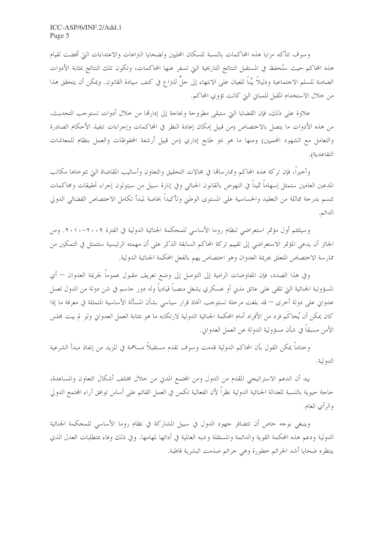ICC-ASP/6/INF.2/Add.1 Page 5

وسوف تتأكد مزايا هذه المحاكمات بالنسبة للسكان المحليين ولضحايا النزاعات والاعتداءات التي أفضت لقيام هذه المحاكم حيث ستُحفظ في المستقبل النتائج التاريخية التي تسفر عنها المحاكمات، وتكون تلك النتائج بمثابة الأدوات الضامنة للسلم الاجتماعية ودليلاً بيِّناً للعيان على الانتهاء إلى حلِّ للتزاع في كنف سيادة القانون. ويمكن أن يتحقق هذا من خلال الاستخدام المقبل للمباني التي كانت تؤوي المحاكم.

علاوة على ذلك، فإن القضايا التي ستبقى مطروحة وبحاحة إلى إدارها من حلال أدوات تستوجب التحديث، من هذه الأدوات ما يتصل بالاختصاص (من قبيل إمكان إعادة النظر في المحاكمات وإجراءات تنفيذ الأحكام الصادرة والتعامل مع الشهود المحميين) ومنها ما هو ذو طابع إداري (من قبيل أرشفة المحفوظات والعمل بنظام للمعاشات التقاعدية).

وأحيراً، فإن تركة هذه المحاكم وممارسالها في مجالات التحقيق والتعاون وأساليب المقاضاة التي تتوحاها مكاتب المدعين العامين ستمثل إسهاماً ثميناً في النهوض بالقانون الجنائبي وفي إنارة سبيل من سيتولون إجراء تحقيقات ومحاكمات تتسم بدرجة مماثلة من التعقيد والحساسية على المستوى الوطين وتأكيداً بخاصة لمبدأ تكامل الاختصاص القضائي الدولي الدائم.

وسيلتثم أول مؤتمر استعراضي لنظام روما الأساسي للمحكمة الجنائية الدولية في الفترة ٢٠٠٩-٢٠١٠. ومن الجائز أن يدعى المؤتمر الاستعراضي إلى تقييم تركة المحاكم السابقة الذكر على أن مهمته الرئيسية ستتمثل في التمكين من ممارسة الاختصاص المتعلق بجريمة العدوان وهو اختصاص يهم بالفعل المحكمة الجنائية الدولية.

وفي هذا الصدد، فإن المفاوضات الرامية إلى التوصل إلى وضع تعريف مقبول عموماً لجريمة العدوان — أي المسؤولية الجنائية التي تلقى على عاتق مدن أو عسكري يشغل منصباً قيادياً وله دور حاسم في شن دولة من الدول لعمل عدوان على دولة أخرى — قد بلغت مرحلة تستوجب اتخاذ قرار سياسي بشأن المسألة الأساسية المتمثلة في معرفة ما إذا كان يمكن أن يُحاكُم فرد من الأفراد أمام المحكمة الجنائية الدولية لارتكابه ما هو بمثابة العمل العدواني ولو لم يبت مجلس الأمن مسبقاً في شأن مسؤولية الدولة عن العمل العدواني.

وختاماً يمكن القول بأن المحاكم الدولية قدمت وسوف تقدم مستقبلاً مساهمة في المزيد من إنفاذ مبدأ الشرعية الدولية.

بيد أن الدعم الاستراتيجي المقدم من الدول ومن المحتمع المدين من حلال مختلف أشكال التعاون والمساعدة، حاجة حيوية بالنسبة للعدالة الجنائية الدولية نظراً لأن الفعالية تكمن في العمل القائم على أساس توافق آراء المحتمع الدولي والرأى العام.

وينبغي بوحه خاص أن تتضافر حهود الدول في سبيل المشاركة في نظام روما الأساسى للمحكمة الجنائية الدولية ودعم هذه المحكمة القوية والدائمة والمستقلة وشبه العالمية في أدائها لمهامها. وفي ذلك وفاء بمتطلبات العدل الذي ينتظره ضحايا أشد الجرائم خطورة وهي جرائم صدمت البشرية قاطبة.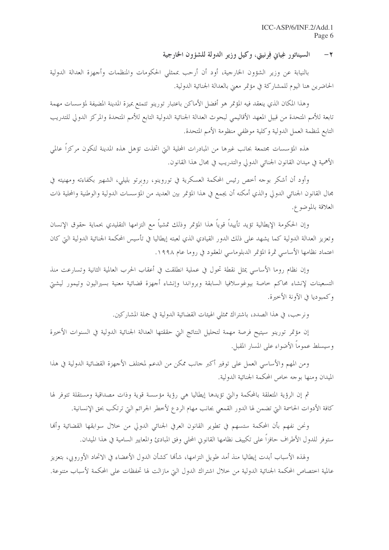السيناتور غِياني فِرنيتي، وكيل وزير الدولة للشؤون الخارجية  $-\tau$ 

بالنيابة عن وزير الشؤون الخارجية، أود أن أرحب بممثلي الحكومات والمنظمات وأجهزة العدالة الدولية الحاضرين هنا اليوم للمشاركة في مؤتمر معنى بالعدالة الجنائية الدولية.

وهذا المكان الذي ينعقد فيه المؤتمر هو أفضل الأماكن باعتبار تورينو تتمتع بميزة المدينة المضيفة لمؤسسات مهمة تابعة للأمم المتحدة من قبيل المعهد الأقاليمي لبحوث العدالة الجنائية الدولية التابع للأمم المتحدة والمركز الدولي للتدريب التابع لمنظمة العمل الدولية وكلية موظفي منظومة الأمم المتحدة.

هذه المؤسسات مجتمعة بجانب غيرها من المبادرات المحلية التي اتخذت تؤهل هذه المدينة لتكون مركزاً عالمي الأهمية في ميدان القانون الجنائي الدولي والتدريب في مجال هذا القانون.

وأود أن أشكر بوجه أخص رئيس المحكمة العسكرية في توروينو، روبرتو بليلي، الشهير بكفاءته ومهنيته في بحال القانون الجنائي الدولي والذي أمكنه أن يجمع في هذا المؤتمر بين العديد من المؤسسات الدولية والوطنية والمحلية ذات العلاقة بالموضوع.

وإن الحكومة الإيطالية تؤيد تأييداً قوياً هذا المؤتمر وذلك تمشياً مع التزامها التقليدي بحماية حقوق الإنسان وتعزيز العدالة الدولية كما يشهد على ذلك الدور القيادي الذي لعبته إيطاليا في تأسيس المحكمة الجنائية الدولية التي كان اعتماد نظامها الأساسي ثمرة المؤتمر الدبلوماسي المعقود في روما عام ١٩٩٨.

وإن نظام روما الأساسي يمثل نقطة تحول في عملية انطلقت في أعقاب الحرب العالمية الثانية وتسارعت منذ التسعينات لإنشاء محاكم حاصة بيوغوسلافيا السابقة وبرواندا وإنشاء أحهزة قضائية معنية بسيراليون وتيمور ليشتى وكمبوديا في الآونة الأخيرة.

ونرحب، في هذا الصدد، باشتراك ممثلي الهيئات القضائية الدولية في جملة المشاركين.

إن مؤتمر تورينو سيتيح فرصة مهمة لتحليل النتائج التي حققتها العدالة الجنائية الدولية في السنوات الأحيرة وسيسلط عموماً الأضواء على المسار المقبل.

ومن المهم والأساسي العمل على توفير أكبر حانب ممكن من الدعم لمختلف الأجهزة القضائية الدولية في هذا الميدان ومنها بوجه خاص المحكمة الجنائية الدولية.

ثم إن الرؤية المتعلقة بالمحكمة والتي تؤيدها إيطاليا هي رؤية مؤسسة قوية وذات مصداقية ومستقلة تتوفر لها كافة الأدوات الحاسمة التي تضمن لها الدور القمعي بجانب مهام الردع لأخطر الجرائم التي ترتكب بحق الإنسانية.

ونحن نفهم بأن المحكمة ستسهم في تطوير القانون العرفي الجنائي الدولي من حلال سوابقها القضائية وألها ستوفر للدول الأطراف حافزاً على تكييف نظامها القانوين المحلي وفق المبادئ والمعايير السامية في هذا الميدان.

ولهذه الأسباب أبدت إيطاليا منذ أمد طويل التزامها، شألها كشأن الدول الأعضاء في الاتحاد الأوروبي، بتعزيز عالمية اختصاص المحكمة الجنائية الدولية من خلال اشتراك الدول التي مازالت لها تحفظات على المحكمة لأسباب متنوعة.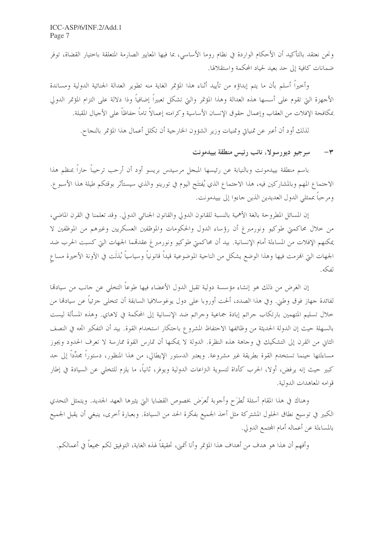ونحن نعتقد بالتأكيد أن الأحكام الواردة في نظام روما الأساسي، بما فيها المعايير الصارمة المتعلقة باحتيار القضاة، توفر ضمانات كافية إلى حد بعيد لحياد المحكمة واستقلالها.

وأحيراً أسلم بأن ما يتم إبداؤه من تأييد أثناء هذا المؤتمر الغاية منه تطوير العدالة الجنائية الدولية ومساندة الأجهزة التي تقوم على أسسها هذه العدالة وهذا المؤتمر والتي تشكل تعبيراً إضافياً وذا دلالة على التزام المؤتمر الدولي بمكافحة الإفلات من العقاب وإعمال حقوق الإنسان الأساسية وكرامته إعمالاً تاماً حفاظاً على الأجيال المقبلة.

لذلك أود أن أعبر عن تمنياتي وتمنيات وزير الشؤون الخارجية أن تكلل أعمال هذا المؤتمر بالنجاح.

سِرِجِيو دِيوِرسوِلا، نائب رئيس منطقة بييدمونت  $-1$ 

باسم منطقة بييدمونت وبالنيابة عن رئيسها المبجل مرسيدس بريسو أود أن أرحب ترحيباً حاراً بمنظم هذا الاحتماع المهم وبالمشاركين فيه، هذا الاحتماع الذي يُفتتَح اليوم في تورينو والذي سيستأثر بوقتكم طيلة هذا الأسبوع. ومرحباً بممثلي الدول العديدين الذين حاءوا إلى بييدمونت.

إن المسائل المطروحة بالغة الأهمية بالنسبة للقانون الدولي والقانون الجنائي الدولي. وقد تعلمنا في القرن الماضي، من خلال محاكمتي طوكيو ونورمبرغ أن رؤساء الدول والحكومات والموظفين العسكريين وغيرهم من الموظفين لا يمكنهم الإفلات من المساءلة أمام الإنسانية. بيد أن محاكمتي طوكيو ونورمبرغ عقدقمما الجهات التي كسبت الحرب ضد الجهات التي الهزمت فيها وهذا الوضع يشكل من الناحية الموضوعية قيداً قانونياً وسياسياً بُذلَت في الآونة الأخيرة مساع لفكه.

إن الغرض من ذلك هو إنشاء مؤسسة دولية تقبل الدول الأعضاء فيها طوعاً التخلي عن حانب من سيادها لفائدة جهاز فوق وطني. وفي هذا الصدد، ألحت أوروبا على دول يوغوسلافيا السابقة أن تتخلى جزئياً عن سيادقما من خلال تسليم المتهمين بارتكاب حرائم إبادة جماعية وحرائم ضد الإنسانية إلى المحكمة في لاهاي. وهذه المسألة ليست بالسهلة حيث إن الدولة الحديثة من وظائفها الاحتفاظ المشروع باحتكار استخدام القوة. بيد أن التفكير اتجه في النصف الثاني من القرن إلى التشكيك في وجاهة هذه النظرة. الدولة لا يمكنها أن تمارس القوة ممارسة لا تعرف الحدود ويجوز مساءلتها حينما تستخدم القوة بطريقة غير مشروعة. ويعتبر الدستور الإيطالي، من هذا المنظور، دستوراً مجدِّداً إلى حد كبير حيث إنه يرفض، أولا، الحرب كأداة لتسوية الـتزاعات الدولية ويوفر، ثانياً، ما يلزم للتخلَّى عن السيادة في إطار قوامه المعاهدات الدولية.

وهناك في هذا المقام أسئلة تُطرَح وأجوبة تُعرَض بخصوص القضايا التي يثيرها العهد الجديد. ويتمثل التحدي الكبير في توسيع نطاق الحلول المشتركة مثل أحذ الجميع بفكرة الحد من السيادة. وبعبارة أحرى، ينبغي أن يقبل الجميع بالمساءلة عن أعماله أمام المحتمع الدولي.

وأفهم أن هذا هو هدف من أهداف هذا المؤتمر وأنا أتمني، تحقيقاً لهذه الغاية، التوفيق لكم جميعاً في أعمالكم.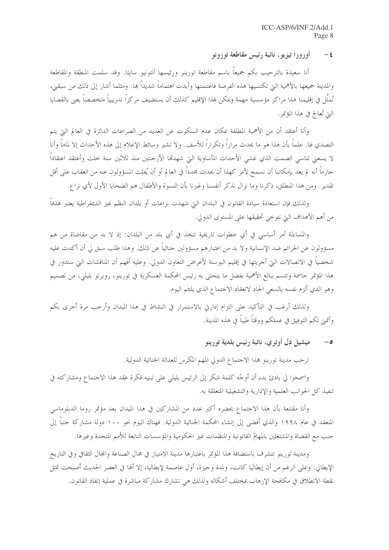أورورا تيزيو ، نائبة رئيس مقاطعة تورونو  $-\xi$ 

أنا سعيدة بالترحيب بكم جميعاً باسم مقاطعة تورينو ورئيسها أنتونيو سايتا. وقد سلمت المنطقة والمقاطعة والمدينة جميعها بالأهمية التي تكتسيها هذه الفرصة فاغتنمتها وأبدت اهتماماً شديداً ها. ومثلما أشار إلى ذلك من سبقني، تُمثّل في إقليمنا هذا مراكز مؤسسية مهمة ويمكن لهذا الإقليم كذلك أن يستضيف مركزاً تدريبياً متخصصاً يعين بالقضايا التي تُعالج في هذا المؤتمر.

وأنا أعتقد أن من الأهمية المطلقة بمكان عدم السكوت عن العديد من الصراعات الدائرة في العالم التي يتم التصدي لها. علماً بأن هذا هو ما يحدث مراراً وتكراراً للأسف. ولا تشير وسائط الإعلام إلى هذه الأحداث إلا لماماً وأنا لا يسعني تناسى الصمت الذي غشى الأحداث المأساوية التي شهدقما الأرحنتين منذ ثلاثين سنة خلت وأعتقد اعتقاداً جازماً أنه لم يعد بإمكاننا أن نسمح لأمر كهذا أن يحدث مجدداً في العالم أو أن يُفلِت المسؤولون عنه من العقاب على أقل تقدير . ومن هذا المنطلق، ذكرنا وما نزال نذكر أنفسنا وغيرنا بأن النسوة والأطفال هم الضحايا الأول لأي نزاع.

ولذلك فإن استعادة سيادة القانون في البلدان التي شهدت نزاعات أو بلدان النظم غير الديمقراطية يعتبر هدفاً من أهم الأهداف التي نتوخى تحقيقها على المستوى الدولي.

والمساءلة أمر أساسي في أي خطوات تاريخية تتخذ في أي بلد من البلدان: إذ لا بد من مقاضاة من هم مسؤولون عن الجرائم ضد الإنسانية ولا بد من اعتبارهم مسؤولين حنائياً عن ذلك. وهذا طلب سبق لي أن أكدت عليه شخصياً في الاتصالات التي أجريتها في إقليم البوسنة لأغراض التعاون الدولي. وعليه أفهم أن المناقشات التي ستدور في هذا المؤتمر حاسمة وتتسم ببالغ الأهمية بفضل ما يتحلى به رئيس المحكمة العسكرية في تورينو، روبرتو بليلي، من تصميم وهو الذي ألزم نفسه بالسعى الجاد لانعقاد الاحتماع الذي يلتئم اليوم.

ولذلك أرغب في التأكيد على التزام إدارتي بالاستمرار في النشاط في هذا الميدان وأرحب مرة أخرى بكم وأتمني لكم التوفيق في عملكم ووقتاً طيباً في هذه المدينة.

> ميشيل ڊل أوتري، نائبة رئيس بلدية تورينو  $-\circ$

ترحب مدينة تورينو بهذا الاجتماع الدولي المهم المكرس للعدالة الجنائية الدولية.

واسمحوا لي بادئ بدء أن أوجّه كلمة شكر إلى الرئيس بليلي على تبنيه فكرة عقد هذا الاجتماع ومشاركته في تنفيذ كل الجوانب العلمية والإدارية والتشغيلية المتعلقة به.

وأنا مقتنعة بأن هذا الاحتماع يحضره أكبر عدد من المشاركين في هذا الميدان بعد مؤتمر روما الدبلوماسي المنعقد في عام ١٩٩٨ والذي أفضى إلى إنشاء المحكمة الجنائية الدولية. فهناك اليوم نحو ١٠٠ دولة مشاركة حنباً إلى حنب مع القضاة والمشتغلين بالمهامّ القانونية والمنظمات غير الحكومية والمؤسسات التابعة للأمم المتحدة وغيرها.

ومدينة تورينو تتشرف باستضافة هذا المؤتمر باعتبارها مدينة الامتياز في مجال الصناعة والمحال الثقافي وفي التاريخ الإيطالي. وعلى الرغم من أن إيطاليا كانت، ولمدة وجيزة، أول عاصمة لإيطاليا، إلا ألها في العصر الحديث أصبحت تمثل نقطة الانطلاق في مكافحة الإرهاب بمختلف أشكاله ولذلك هي تشارك مشاركة مباشرة في عملية إنفاذ القانون.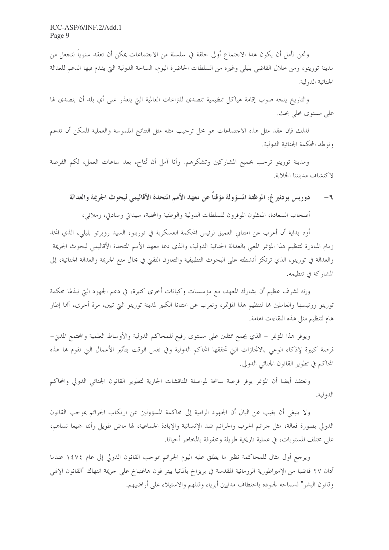ICC-ASP/6/INF.2/Add.1 Page 9

ونحن نأملٍ أن يكون هذا الاجتماع أولى حلقة في سلسلة من الاجتماعات يمكن أن تعقد سنوياً لتجعل من مدينة تورينو، ومن حلال القاضي بليلي وغيره من السلطات الحاضرة اليوم، الساحة الدولية التي يقدم فيها الدعم للعدالة الجنائية الدولية.

والتاريخ يتجه صوب إقامة هياكل تنظيمية تتصدى للنزاعات العالمية التي يتعذر على أي بلد أن يتصدى لها علي مستوى محلي بحث.

لذلك فإن عقد مثل هذه الاجتماعات هو محل ترحيب مثله مثل النتائج الملموسة والعملية الممكن أن تدعم وتوطد المحكمة الجنائية الدولية.

ومدينة تورينو ترحب بجميع المشاركين وتشكرهم. وأنا آمل أن تُتاح، بعد ساعات العمل، لكم الفرصة لاكتشاف مدبنتنا الخلابة.

#### دوريس بودنبر غ، الموظفة المسؤولة مؤقتاً عن معهد الأمم المتحدة الأقاليمي لبحوث الجريمة والعدالة  $-7$

أصحاب السعادة، الممثلون الموقرون للسلطات الدولية والوطنية والمحلية، سيداني وسادتي، زملائي،

أود بداية أن أعرب عن امتناني العميق لرئيس المحكمة العسكرية في تورينو، السيد روبرتو بليلي، الذي اتخذ زمام المبادرة لتنظيم هذا المؤتمر المعين بالعدالة الجنائية الدولية، والذي دعا معهد الأمم المتحدة الأقاليمي لبحوث الجريمة والعدالة في تورينو، الذي ترتكز أنشطته على البحوث التطبيقية والتعاون التقين في مجال منع الجريمة والعدالة الجنائية، إلى المشاركة في تنظيمه.

وإنه لشرف عظيم أن يشارك المعهد، مع مؤسسات وكيانات أخرى كثيرة، في دعم الجهود التي تبذلها محكمة تورينو ورئيسها والعاملين بما لتنظيم هذا المؤتمر، ونعرب عن امتنانا الكبير لمدينة تورينو التي تبين، مرة أخرى، ألها إطار هام لتنظيم مثل هذه اللقاءات الهامة.

ويوفر هذا المؤتمر – الذي يجمع ممثلين على مستوى رفيع للمحاكم الدولية والأوساط العلمية والمحتمع المدن– فرصة كبيرة لإذكاء الوعي بالانحازات التي تحققها المحاكم الدولية وفي نفس الوقت بتأثير الأعمال التي تقوم بما هذه المحاكم في تطوير القانون الجنائي الدولي.

ونعتقد أيضا أن المؤتمر يوفر فرصة سانحة لمواصلة المناقشات الجارية لتطوير القانون الجنائبي الدولي والمحاكم الدولية.

ولا ينبغي أن يغيب عن البال أن الجهود الرامية إلى محاكمة المسؤولين عن ارتكاب الجرائم بموجب القانون الدولي بصورة فعالة، مثل جرائم الحرب والجرائم ضد الإنسانية والإبادة الجماعية، لها ماض طويل وأننا جميعا نساهم، على مختلف المستويات، في عملية تاريخية طويلة ومحفوفة بالمخاطر أحيانا.

ويرجع أول مثال للمحاكمة نظير ما يطلق عليه اليوم الجرائم بموجب القانون الدولي إلى عام ١٤٧٤ عندما أدان ٢٧ قاضيا من الإمبراطورية الرومانية المقدسة في بريزاخ بألمانيا بيتر فون هاغنباخ على حريمة انتهاك "القانون الإلهي وقانون البشر" لسماحه لجنوده باختطاف مدنيين أبرياء وقتلهم والاستيلاء على أراضيهم.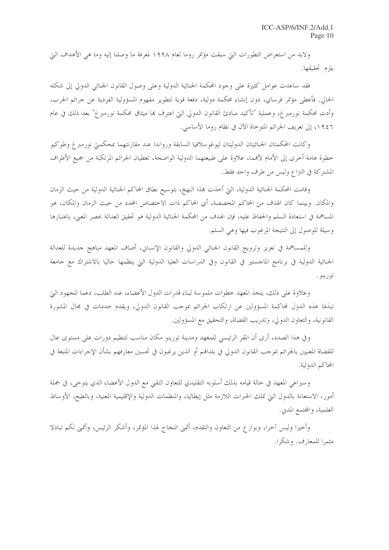ولابد من استعراض التطورات التي سبقت مؤتمر روما لعام ١٩٩٨ لمعرفة ما وصلنا إليه وما هي الأهداف التي يلزم تحقيقها.

فقد ساعدت عوامل كثيرة على وجود المحكمة الجنائية الدولية وعلى وصول القانون الجنائي الدولي إلى شكله الحالي. فأعطى مؤتمر فرساي، دون إنشاء محكمة دولية، دفعة قوية لتطوير مفهوم المسؤولية الفردية عن جرائم الحرب، وأدت محكمة نورمبرغ، وعملية "تأكيد مبادئ القانون الدولي التي اعترف بما ميثاق محكمة نورمبرغ" بعد ذلك في عام ١٩٤٦، إلى تعريف الجرائم المتوخاة الآن في نظام روما الأساسي.

وكانت المحكمتان الجنائيتان الدوليتان ليوغوسلافيا السابقة ورواندا عند مقارنتهما بمحكمتي نورمبرغ وطوكيو خطوة هامة أخرى إلى الأمام لأفمما، علاوة على طبيعتهما الدولية الواضحة، تغطيان الجرائم المرتكبة من جميع الأطراف المشتركة في النزاع وليس من طرف واحد فقط.

وقامت المحكمة الجنائية الدولية، التي أحذت بمذا النهج، بتوسيع نطاق المحاكم الجنائية الدولية من حيث الزمان والمكان. وبينما كان الهدف من المحاكم المخصصة، أي المحاكم ذات الاختصاص المحدد من حيث الزمان والمكان، هو المساهمة في استعادة السلم والحفاظ عليه، فإن الهدف من المحكمة الجنائية الدولية هو تحقيق العدالة بحصر المعنى، باعتبارها و سيلة للوصول إلى النتيجة المرغوب فيها وهي السلم.

وللمساهمة في تعزيز وترويج القانون الجنائبي الدولي والقانون الإنساني، أضاف المعهد مناهج حديدة للعدالة الجنائية الدولية في برنامج الماجستير في القانون وفي الدراسات العليا الدولية التي ينظمها حاليا بالاشتراك مع جامعة تورينو .

وعلاوة على ذلك، يتخذ المعهد حطوات ملموسة لبناء قدرات الدول الأعضاء، عند الطلب، دعما للجهود التي تبذلها هذه الدول لمحاكمة المسؤولين عن ارتكاب الجرائم بموجب القانون الدولي، ويقدم حدمات في مجال المشورة القانونية، والتعاون الدولي، وتدريب القضاة، والتحقيق مع المسؤولين.

وفي هذا الصدد، أرى أن المقر الرئيسي للمعهد ومدينة تورينو مكان مناسب لتنظيم دورات على مستوى عال للقضاة المعنيين بالجرائم بموجب القانون الدولي في بلدالهم أو الذين يرغبون في تحسين معارفهم بشأن الإحراءات المتبعة في المحاكم الدولية.

وسيراعي المعهد في حالة قيامه بذلك أسلوبه التقليدي للتعاون التقين مع الدول الأعضاء الذي يتوحى، في جملة أمور، الاستعانة بالدول التي تملك الخبرات اللازمة مثل إيطاليا، والمنظمات الدولية والإقليمية المعنية، وبالطبع، الأوساط العلمية، والمحتمع المدني.

وأحيرا وليس آحرا، وبوازع من التعاون والتقدم، أتمني النجاح لهذا المؤتمر، وأشكر الرئيس، وأتمني لكم تبادلا مثمرا للمعارف. وشكرا.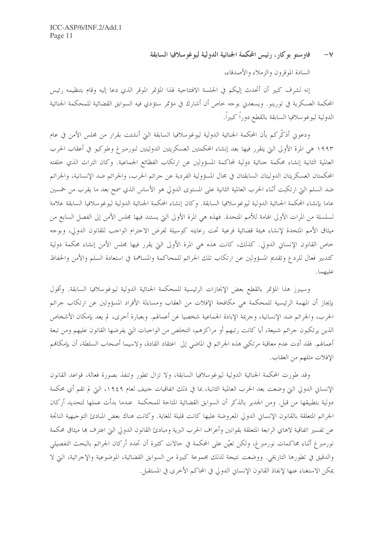فاوستو بوكار، رئيس المحكمة الجنائية الدولية ليوغوسلافيا السابقة  $-\vee$ 

السادة الموقرون والزملاء والأصدقاء،

إنه لشرف كبير أن أتحدث إليكم في الجلسة الافتتاحية لهذا المؤتمر الموقر الذي دعا إليه وقام بتنظيمه رئيس المحكمة العسكرية في تورينو. ويسعدني بوجه خاص أن أشارك في مؤتمر ستؤدي فيه السوابق القضائية للمحكمة الجنائية الدولية ليوغو سلافيا السابقة بالقطع دوراً كبيراً.

ودعوني أذكَّركم بأن المحكمة الجنائية الدولية ليوغوسلافيا السابقة التي أنشئت بقرار من مجلس الأمن في عام ١٩٩٣ هي المرة الأولى التي يتقرر فيها بعد إنشاء المحكمتين العسكريتين الدوليتين لنورمبرغ وطوكيو في أعقاب الحرب العالمية الثانية إنشاء محكمة جنائية دولية لمحاكمة المسؤولين عن ارتكاب الفظائع الجماعية. وكان التراث الذي حلفته المحكمتان العسكريتان الدوليتان السابقتان في مجال المسؤولية الفردية عن جرائم الحرب، والجرائم ضد الإنسانية، والجرائم ضد السلم التي ارتكبت أثناء الحرب العالمية الثانية على المستوى الدولي هو الأساس الذي سمح بعد ما يقرب من خمسين عاما بإنشاء المحكمة الجنائية الدولية ليوغو سلافيا السابقة. وكان إنشاء المحكمة الجنائية الدولية ليوغو سلافيا السابقة علامة لسلسلة من المرات الأولى الهامة للأمم المتحدة. فهذه هي المرة الأولى التي يستند فيها مجلس الأمن إلى الفصل السابع من ميثاق الأمم المتحدة لإنشاء هيئة قضائية فرعية تحت رعايته كوسيلة لفرض الاحترام الواجب للقانون الدولي، وبوحه خاص القانون الإنساني الدولي. كذلك، كانت هذه هي المرة الأولى التي يقرر فيها مجلس الأمن إنشاء محكمة دولية كتدبير فعال للردع وتقديم المسؤولين عن ارتكاب تلك الجرائم للمحاكمة والمساهمة في استعادة السلم والأمن والحفاظ عليهما.

وسيبرز هذا المؤتمر بالقطع بعض الإنجازات الرئيسية للمحكمة الجنائية الدولية ليوغوسلافيا السابقة. وأقول بإيجاز أن المهمة الرئيسية للمحكمة هي مكافحة الإفلات من العقاب ومساءلة الأفراد المسؤولين عن ارتكاب جرائم الحرب، والجرائم ضد الإنسانية، وحريمة الإبادة الجماعية شخصيا عن أعمالهم. وبعبارة أخرى، لم يعد بإمكان الأشخاص الذين يرتكبون جرائم شنيعة، أيا كانت رتبهم أو مراكزهم، التخلص من الواجبات التي يفرضها القانون عليهم ومن تبعة أعمالهم. فقد أدت عدم معاقبة مرتكبي هذه الجرائم في الماضي إلى اعتقاد القادة، ولاسيما أصحاب السلطة، أن بإمكانهم الإفلات مثلهم من العقاب.

وقد طورت المحكمة الجنائية الدولية ليوغوسلافيا السابقة، ولا تزال تطور وتنفذ بصورة فعالة، قواعد القانون الإنساني الدولي التي وضعت بعد الحرب العالمية الثانية، بما في ذلك اتفاقيات حنيف لعام ١٩٤٩، التي لم تقم أي محكمة دولية بتطبيقها من قبل. ومن الجدير بالذكر أن السوابق القضائية المتاحة للمحكمة عندما بدأت عملها لتحديد أركان الجرائم المتعلقة بالقانون الإنساني الدولي المعروضة عليها كانت قليلة للغاية. وكانت هناك بعض المبادئ التوجيهية الناتجة عن تفسير اتفاقية لاهاي الرابعة المتعلقة بقوانين وأعراف الحرب البرية ومبادئ القانون الدولى التي اعترف ها ميثاق محكمة نورمبرغ أثناء محاكمات نورمبرغ، ولكن تعيَّن على المحكمة في حالات كثيرة أن تحدد أركان الجرائم بالبحث التفصيلي والدقيق في تطورها التاريخي. ووضعت نتيجة لذلك مجموعة كبيرة من السوابق القضائية، الموضوعية والإجرائية، التي لا يمكن الاستغناء عنها لإنفاذ القانون الإنساني الدولي في المحاكم الأخرى في المستقبل.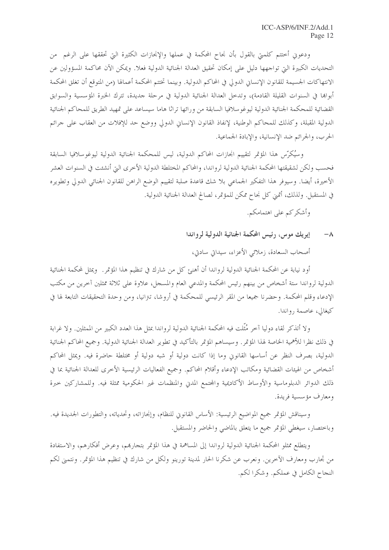ودعوني أحتتم كلمتي بالقول بأن نجاح المحكمة في عملها والإنجازات الكثيرة التي تحققها على الرغم ٍ من التحديات الكبيرة التي تواجهها دليل على إمكان تحقيق العدالة الجنائية الدولية فعلا. ويمكن الآن محاكمة المسؤولين عن الانتهاكات الجسيمة للقانون الإنساني الدولي في المحاكم الدولية. وبينما تختتم المحكمة أعمالها (من المتوقع أن تغلق المحكمة أبواها في السنوات القليلة القادمة)، وتدحل العدالة الجنائية الدولية في مرحلة حديدة، تترك الخبرة المؤسسية والسوابق القضائية للمحكمة الجنائية الدولية ليوغوسلافيا السابقة من ورائها تراثا هاما سيساعد على تمهيد الطريق للمحاكم الجنائية الدولية المقبلة، وكذلك للمحاكم الوطنية، لإنفاذ القانون الإنساني الدولي ووضع حد للإفلات من العقاب على جرائم الحرب، والجرائم ضد الإنسانية، والإبادة الجماعية.

وسيُكرِّس هذا المؤتمر لتقييم انجازات المحاكم الدولية، ليس للمحكمة الجنائية الدولية ليوغوسلافيا السابقة فحسب ولكن لشقيقتها المحكمة الجنائية الدولية لرواندا، والمحاكم المختلطة الدولية الأخرى التي أنشئت في السنوات العشر الأخيرة، أيضا. وسيوفر هذا التفكير الجماعي بلا شك قاعدة صلبة لتقييم الوضع الراهن للقانون الجنائي الدولي وتطويره في المستقبل. ولذلك، أتمنى كل نجاح ممكن للمؤتمر، لصالح العدالة الجنائية الدولية.

وأشكركم على اهتمامكم.

إيريك موس، رئيس المحكمة الجنائية الدولية لرواندا  $-\lambda$ 

أصحاب السعادة، زملائي الأعزاء، سيداتي سادتي،

أود نيابة عن المحكمة الجنائية الدولية لرواندا أن أهنئ كل من شارك في تنظيم هذا المؤتمر. ۖ ويمثل لمحكمة الجنائية الدولية لرواندا ستة أشخاص من بينهم رئيس المحكمة والمدعى العام والمسجل، علاوة على ثلاثة ممثلين آخرين من مكتب الإدعاء وقلم المحكمة. وحضرنا جميعا من المقر الرئيسي للمحكمة في أروشا، تترانيا، ومن وحدة التحقيقات التابعة لها في كيغالي، عاصمة , واندا.

ولا أتذكر لقاء دوليا آخر مُثَّلت فيه المحكمة الجنائية الدولية لرواندا بمثل هذا العدد الكبير من الممثلين. ولا غرابة في ذلك نظرا للأهمية الخاصة لهذا المؤتمر. وسيساهم المؤتمر بالتأكيد في تطوير العدالة الجنائية الدولية. وجميع المحاكم الجنائية الدولية، بصرف النظر عن أساسها القانوين وما إذا كانت دولية أو شبه دولية أو مختلطة حاضرة فيه. ويمثل المحاكم أشخاص من الهيئات القضائية ومكاتب الإدعاء وأقلام المحاكم. وجميع الفعاليات الرئيسية الأخرى للعدالة الجنائية بما في ذلك الدوائر الدبلوماسية والأوساط الأكاديمية والمحتمع المدين والمنظمات غير الحكومية ممثلة فيه. وللمشاركين حبرة ومعارف مؤسسية فريدة.

وسيناقش المؤتمر جميع المواضيع الرئيسية: الأساس القانوين للنظام، وإنحازاته، وتحدياته، والتطورات الجحديدة فيه. وباختصار، سيغطي المؤتمر جميع ما يتعلق بالماضي والحاضر والمستقبل.

ويتطلع ممثلو المحكمة الجنائية الدولية لرواندا إلى المساهمة في هذا المؤتمر بتجاربهم، وعرض أفكارهم، والاستفادة من تجارب ومعارف الآخرين. ونعرب عن شكرنا الحار لمدينة تورينو ولكل من شارك في تنظيم هذا المؤتمر. ونتمنى لكم النجاح الكامل في عملكم. وشكرا لكم.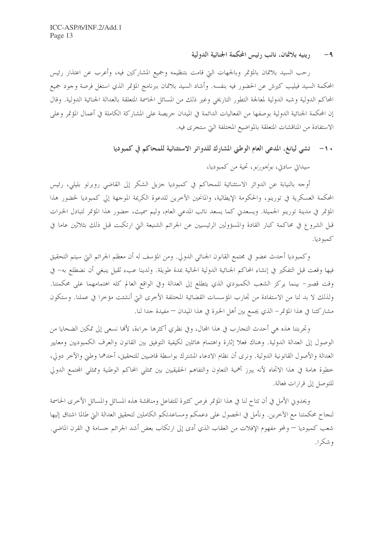رينيه بلاتمان، نائب رئيس المحكمة الجنائية الدولية  $-9$ 

رحب السيد بلاتمان بالمؤتمر وبالجهات التي قامت بتنظيمه وجميع المشاركين فيه، وأعرب عن اعتذار رئيس المحكمة السيد فيليب كيرش عن الحضور فيه بنفسه. وأشاد السيد بلاتمان ببرنامج المؤتمر الذي استغل فرصة وجود جميع المحاكم الدولية وشبه الدولية لمعالجة التطور التاريخي وغير ذلك من المسائل الحاسمة المتعلقة بالعدالة الجنائية الدولية. وقال إن المحكمة الجنائية الدولية بوصفها من الفعاليات الدائمة في الميدان حريصة على المشاركة الكاملة في أعمال المؤتمر وعلى الاستفادة من المناقشات المتعلقة بالمواضيع المختلفة التي ستجرى فيه.

## · ١- تشي ليانغ، المدعى العام الوطني المشارك للدوائر الاستثنائية للمحاكم في كمبوديا سيداتى سادتى، *بونجورنو،* تحية من كمبوديا،

أوجه بالنيابة عن الدوائر الاستثنائية للمحاكم في كمبوديا جزيل الشكر إلى القاضي روبرتو بليلي، رئيس المحكمة العسكرية في تورينو، والحكومة الإيطالية، والمانحين الآخرين للدعوة الكريمة الموجهة إلى كمبوديا لحضور هذا المؤتمر في مدينة تورينو الجميلة. ويسعدن كما يسعد نائب المدعى العام، وليم سميث، حضور هذا المؤتمر لتبادل الخبرات قبل الشروع في محاكمة كبار القادة والمسؤولين الرئيسيين عن الجرائم الشنيعة التي ارتكبت قبل ذلك بثلاثين عاما في كمبوديا.

وكمبوديا أحدث عضو في مجتمع القانون الجنائبي الدولي. ومن المؤسف له أن معظم الجرائم التي سيتم التحقيق فيها وقعت قبل التفكير في إنشاء المحاكم الجنائية الدولية الحالية بمدة طويلة. ولدينا عبء ثقيل ينبغي أن نضطلع به– في وقت قصير– بينما يركز الشعب الكمبودي الذي يتطلع إلى العدالة وفي الواقع العالم كله اهتمامهما على محكمتنا. ولذلك لا بد لنا من الاستفادة من تجارب المؤسسات القضائية المختلفة الأخرى التي أنشئت مؤخرا في عملنا. وستكون مشارِكتنا في هذا المؤتمرِ – الذي يجمع بين أهل الخبرة في هذا الميدان — مفيدة جدا لنا.

وتجربتنا هذه هي أحدث التحارب في هذا المحال، وفي نظري أكثرها جراءة، لألها نسعى إلى تمكين الضحايا من الوصول إلى العدالة الدولية. وهناك فعلا إثارة واهتمام هائلين لكيفية التوفيق بين القانون والعرف الكمبوديين ومعايير العدالة والأصول القانونية الدولية. ونرى أن نظام الادعاء المشترك بواسطة قاضيين للتحقيق، أحدهما وطني والآخر دولي، خطوة هامة في هذا الاتجاه لأنه يبرز أهمية التعاون والتفاهم الحقيقيين بين ممثلي المحاكم الوطنية وممثلي المحتمع الدولي للتوصل إلى قرارات فعالة.

ويحدوني الأمل في أن تتاح لنا في هذا المؤتمر فرص كثيرة للتفاعل ومناقشة هذه المسائل والمسائل الأخرى الحاسمة لنجاح محكمتنا مع الآخرين. ونأمل في الحصول على دعمكم ومساعدتكم الكاملين لتحقيق العدالة التي طالما اشتاق إليها شعب كمبوديا — ولمحو مفهوم الإفلات من العقاب الذي أدى إلى ارتكاب بعض أشد الجرائم جسامة في القرن الماضي. وشكه ا.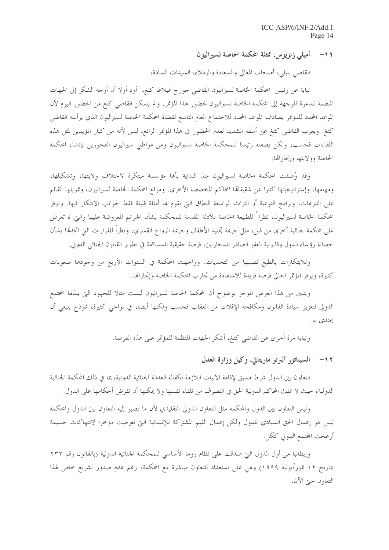١١– أميلي زنزيوس، ممثلة المحكمة الخاصة لسيراليون

القاضي بليلي، أصحاب المعالي والسعادة والزملاء، السيدات السادة،

نيابة عن رئيس المحكمة الخاصة لسيراليون القاضي جورج غيلاغا كنغ، أود أولا أن أوجه الشكر إلى الجهات المنظمة للدعوة الموجهة إلى المحكمة الخاصة لسيراليون لحضور هذا المؤتمر. ولم يتمكن القاضي كنغ من الحضور اليوم لأن الموعد المحدد للمؤتمر يصادف الموعد المحدد للاحتماع العام التاسع لقضاة المحكمة الخاصة لسيراليون الذي يرأسه القاضى كنغ. ويعرب القاضي كنغ عن أسفه الشديد لعدم الحضور في هذا المؤتمر الرائع، ليس لأنه من كبار المؤيدين لمثل هذه اللقاءات فحسب، ولكن بصفته رئيسا للمحكمة الخاصة لسيراليون ومن مواطني سيراليون الفخورين بإنشاء المحكمة الخاصة وولايتها وإنجازاها.

وقد وُصِفت المحكمة الخاصة لسيراليون منذ البداية بألها مؤسسة مبتكرة لاختلاف ولايتها، وتشكيلها، ومهامها، وإستراتيجيتها كثيرًا عن شقيقاها المحاكم المخصصة الأخرى. وموقع المحكمة الخاصة لسيراليون، وتمويلها القائم على التبرعات، وبرامج التوعية أو التراث الواسعة النطاق التي تقوم ها أمثلة قليلة فقط لجوانب الابتكار فيها. وتوفر المحكمة الخاصة لسيراليون، نظرا ً للطبيعة الخاصة للأدلة المقدمة للمحكمة بشأن الجرائم المعروضة عليها والتي لم تعرض على محكمة جنائية أخرى من قبل، مثل جريمة تجنيد الأطفال وحريمة الزواج القسري، ونظراً للقرارات التي اتخذهما بشأن حصانة رؤساء الدول وقانونية العفو الصادر للمحاربين، فرصة حقيقية للمساهمة في تطوير القانون الجنائي الدولي.

وللابتكارات بالطبع نصيبها من التحديات. وواجهت المحكمة في السنوات الأربع من وجودها صعوبات كثيرة، ويوفر المؤتمر الحالي فرصة فريدة للاستفادة من تجارب المحكمة الخاصة وإنجازاها.

ويتبين من هذا العرض الموجز بوضوح أن المحكمة الخاصة لسيراليون ليست مثالا للجهود التي يبذلها المجتمع الدولي لتعزيز سيادة القانون ومكافحة الإفلات من العقاب فحسب ولكنها أيضا، في نواحي كثيرة، نموذج ينبغي أن يحتذي په.

ونيابة مرة أخرى عن القاضي كنغ، أشكر الجهات المنظمة للمؤتمر على هذه الفرصة.

#### السيناتور ألبرتو ماريتاتي، وكيل وزارة العدل  $-11$

التعاون بين الدول شرط مسبق لإقامة الآليات اللازمة لكفالة العدالة الجنائية الدولية، بما في ذلك المحكمة الجنائية الدولية، حيث لا تملك المحاكم الدولية الحق في التصرف من تلقاء نفسها ولا يمكنها أن تفرض أحكامها على الدول.

وليس التعاون بين الدول والمحكمة مثل التعاون الدولي التقليدي لأن ما يصبو إليه التعاون بين الدول والمحكمة ليس هو إعمال الحق السيادي للدول ولكن إعمال القيم المشتركة للإنسانية التي تعرضت مؤخرا لانتهاكات حسيمة أزعجت المحتمع الدولي ككل.

وإيطاليا من أول الدول التي صدقت على نظام روما الأساسي للمحكمة الجنائية الدولية (بالقانون رقم ٢٣٢ بتاريخ ١٢ تموز/يوليه ١٩٩٩) وهي على استعداد للتعاون مباشرة مع المحكمة، رغم عدم صدور تشريع حاص لهذا التعاون حتى الآن.